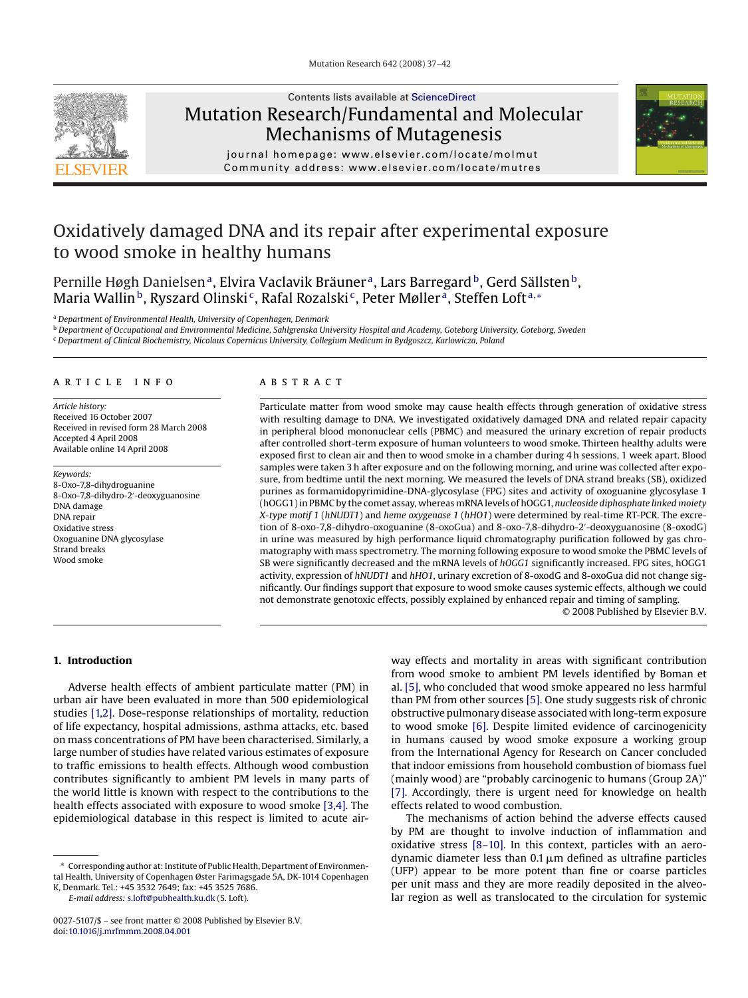

## Contents lists available at [ScienceDirect](http://www.sciencedirect.com/science/journal/00275107) Mutation Research/Fundamental and Molecular Mechanisms of Mutagenesis



journal homepage: www.elsevier.com/locate/molmut Community address: www.elsevier.com/locate/mutres

# Oxidatively damaged DNA and its repair after experimental exposure to wood smoke in healthy humans

Pernille Høgh Danielsen<sup>a</sup>, Elvira Vaclavik Bräuner<sup>a</sup>, Lars Barregard<sup>b</sup>, Gerd Sällsten<sup>b</sup>, Maria Wallin<sup>b</sup>, Ryszard Olinski<sup>c</sup>, Rafal Rozalski<sup>c</sup>, Peter Møller<sup>a</sup>, Steffen Loft<sup>a,∗</sup>

<sup>a</sup> *Department of Environmental Health, University of Copenhagen, Denmark*

<sup>b</sup> *Department of Occupational and Environmental Medicine, Sahlgrenska University Hospital and Academy, Goteborg University, Goteborg, Sweden*

<sup>c</sup> *Department of Clinical Biochemistry, Nicolaus Copernicus University, Collegium Medicum in Bydgoszcz, Karlowicza, Poland*

## article info

*Article history:* Received 16 October 2007 Received in revised form 28 March 2008 Accepted 4 April 2008 Available online 14 April 2008

*Keywords:* 8-Oxo-7,8-dihydroguanine 8-Oxo-7,8-dihydro-2 -deoxyguanosine DNA damage DNA repair Oxidative stress Oxoguanine DNA glycosylase Strand breaks Wood smoke

## ABSTRACT

Particulate matter from wood smoke may cause health effects through generation of oxidative stress with resulting damage to DNA. We investigated oxidatively damaged DNA and related repair capacity in peripheral blood mononuclear cells (PBMC) and measured the urinary excretion of repair products after controlled short-term exposure of human volunteers to wood smoke. Thirteen healthy adults were exposed first to clean air and then to wood smoke in a chamber during 4 h sessions, 1 week apart. Blood samples were taken 3 h after exposure and on the following morning, and urine was collected after exposure, from bedtime until the next morning. We measured the levels of DNA strand breaks (SB), oxidized purines as formamidopyrimidine-DNA-glycosylase (FPG) sites and activity of oxoguanine glycosylase 1 (hOGG1) in PBMC by the comet assay, whereas mRNA levels of hOGG1, *nucleoside diphosphate linked moiety X-type motif 1* (*hNUDT1*) and *heme oxygenase 1* (*hHO1*) were determined by real-time RT-PCR. The excretion of 8-oxo-7,8-dihydro-oxoguanine (8-oxoGua) and 8-oxo-7,8-dihydro-2 -deoxyguanosine (8-oxodG) in urine was measured by high performance liquid chromatography purification followed by gas chromatography with mass spectrometry. The morning following exposure to wood smoke the PBMC levels of SB were significantly decreased and the mRNA levels of *hOGG1* significantly increased. FPG sites, hOGG1 activity, expression of *hNUDT1* and *hHO1*, urinary excretion of 8-oxodG and 8-oxoGua did not change significantly. Our findings support that exposure to wood smoke causes systemic effects, although we could not demonstrate genotoxic effects, possibly explained by enhanced repair and timing of sampling.

© 2008 Published by Elsevier B.V.

## **1. Introduction**

Adverse health effects of ambient particulate matter (PM) in urban air have been evaluated in more than 500 epidemiological studies [\[1,2\].](#page-4-0) Dose-response relationships of mortality, reduction of life expectancy, hospital admissions, asthma attacks, etc. based on mass concentrations of PM have been characterised. Similarly, a large number of studies have related various estimates of exposure to traffic emissions to health effects. Although wood combustion contributes significantly to ambient PM levels in many parts of the world little is known with respect to the contributions to the health effects associated with exposure to wood smoke [\[3,4\]. T](#page-4-0)he epidemiological database in this respect is limited to acute air-

*E-mail address:* [s.loft@pubhealth.ku.dk](mailto:s.loft@pubhealth.ku.dk) (S. Loft).

way effects and mortality in areas with significant contribution from wood smoke to ambient PM levels identified by Boman et al. [\[5\], w](#page-4-0)ho concluded that wood smoke appeared no less harmful than PM from other sources [\[5\]. O](#page-4-0)ne study suggests risk of chronic obstructive pulmonary disease associated with long-term exposure to wood smoke [\[6\].](#page-4-0) Despite limited evidence of carcinogenicity in humans caused by wood smoke exposure a working group from the International Agency for Research on Cancer concluded that indoor emissions from household combustion of biomass fuel (mainly wood) are "probably carcinogenic to humans (Group 2A)" [\[7\].](#page-4-0) Accordingly, there is urgent need for knowledge on health effects related to wood combustion.

The mechanisms of action behind the adverse effects caused by PM are thought to involve induction of inflammation and oxidative stress [\[8–10\].](#page-4-0) In this context, particles with an aerodynamic diameter less than  $0.1 \,\rm \mu m$  defined as ultrafine particles (UFP) appear to be more potent than fine or coarse particles per unit mass and they are more readily deposited in the alveolar region as well as translocated to the circulation for systemic

Corresponding author at: Institute of Public Health, Department of Environmental Health, University of Copenhagen Øster Farimagsgade 5A, DK-1014 Copenhagen K, Denmark. Tel.: +45 3532 7649; fax: +45 3525 7686.

<sup>0027-5107/\$ –</sup> see front matter © 2008 Published by Elsevier B.V. doi[:10.1016/j.mrfmmm.2008.04.001](dx.doi.org/10.1016/j.mrfmmm.2008.04.001)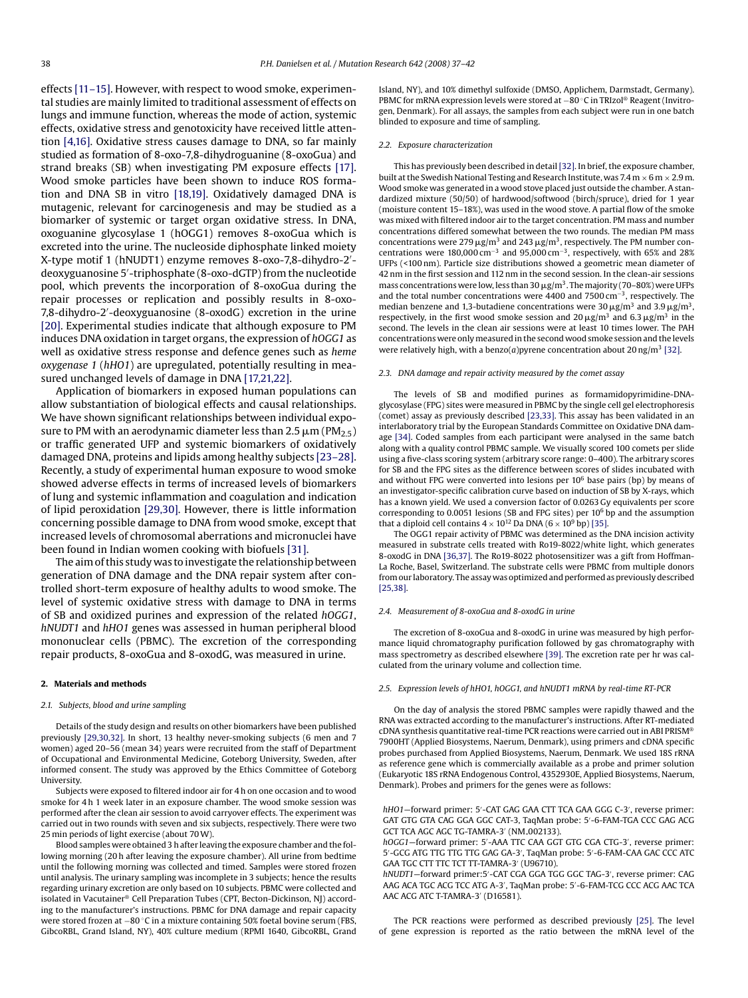effects [\[11–15\]. H](#page-4-0)owever, with respect to wood smoke, experimental studies are mainly limited to traditional assessment of effects on lungs and immune function, whereas the mode of action, systemic effects, oxidative stress and genotoxicity have received little attention [\[4,16\]. O](#page-4-0)xidative stress causes damage to DNA, so far mainly studied as formation of 8-oxo-7,8-dihydroguanine (8-oxoGua) and strand breaks (SB) when investigating PM exposure effects [\[17\].](#page-4-0) Wood smoke particles have been shown to induce ROS formation and DNA SB in vitro [\[18,19\].](#page-4-0) Oxidatively damaged DNA is mutagenic, relevant for carcinogenesis and may be studied as a biomarker of systemic or target organ oxidative stress. In DNA, oxoguanine glycosylase 1 (hOGG1) removes 8-oxoGua which is excreted into the urine. The nucleoside diphosphate linked moiety X-type motif 1 (hNUDT1) enzyme removes 8-oxo-7,8-dihydro-2 deoxyguanosine 5 -triphosphate (8-oxo-dGTP) from the nucleotide pool, which prevents the incorporation of 8-oxoGua during the repair processes or replication and possibly results in 8-oxo-7,8-dihydro-2 -deoxyguanosine (8-oxodG) excretion in the urine [\[20\]. E](#page-4-0)xperimental studies indicate that although exposure to PM induces DNA oxidation in target organs, the expression of *hOGG1* as well as oxidative stress response and defence genes such as *heme oxygenase 1* (*hHO1*) are upregulated, potentially resulting in measured unchanged levels of damage in DNA [\[17,21,22\].](#page-4-0)

Application of biomarkers in exposed human populations can allow substantiation of biological effects and causal relationships. We have shown significant relationships between individual exposure to PM with an aerodynamic diameter less than 2.5  $\rm \mu m$  (PM $_{2.5}$ ) or traffic generated UFP and systemic biomarkers of oxidatively damaged DNA, proteins and lipids among healthy subjects [\[23–28\].](#page-4-0) Recently, a study of experimental human exposure to wood smoke showed adverse effects in terms of increased levels of biomarkers of lung and systemic inflammation and coagulation and indication of lipid peroxidation [\[29,30\]. H](#page-4-0)owever, there is little information concerning possible damage to DNA from wood smoke, except that increased levels of chromosomal aberrations and micronuclei have been found in Indian women cooking with biofuels [\[31\].](#page-4-0)

The aim of this study was to investigate the relationship between generation of DNA damage and the DNA repair system after controlled short-term exposure of healthy adults to wood smoke. The level of systemic oxidative stress with damage to DNA in terms of SB and oxidized purines and expression of the related *hOGG1*, *hNUDT1* and *hHO1* genes was assessed in human peripheral blood mononuclear cells (PBMC). The excretion of the corresponding repair products, 8-oxoGua and 8-oxodG, was measured in urine.

#### **2. Materials and methods**

#### *2.1. Subjects, blood and urine sampling*

Details of the study design and results on other biomarkers have been published previously [\[29,30,32\]. I](#page-4-0)n short, 13 healthy never-smoking subjects (6 men and 7 women) aged 20–56 (mean 34) years were recruited from the staff of Department of Occupational and Environmental Medicine, Goteborg University, Sweden, after informed consent. The study was approved by the Ethics Committee of Goteborg University.

Subjects were exposed to filtered indoor air for 4 h on one occasion and to wood smoke for 4 h 1 week later in an exposure chamber. The wood smoke session was performed after the clean air session to avoid carryover effects. The experiment was carried out in two rounds with seven and six subjects, respectively. There were two 25 min periods of light exercise (about 70W).

Blood samples were obtained 3 h after leaving the exposure chamber and the following morning (20 h after leaving the exposure chamber). All urine from bedtime until the following morning was collected and timed. Samples were stored frozen until analysis. The urinary sampling was incomplete in 3 subjects; hence the results regarding urinary excretion are only based on 10 subjects. PBMC were collected and isolated in Vacutainer® Cell Preparation Tubes (CPT, Becton-Dickinson, NJ) according to the manufacturer's instructions. PBMC for DNA damage and repair capacity were stored frozen at −80 °C in a mixture containing 50% foetal bovine serum (FBS, GibcoRBL, Grand Island, NY), 40% culture medium (RPMI 1640, GibcoRBL, Grand

Island, NY), and 10% dimethyl sulfoxide (DMSO, Applichem, Darmstadt, Germany). PBMC for mRNA expression levels were stored at <sup>−</sup><sup>80</sup> ◦C in TRIzol® Reagent (Invitrogen, Denmark). For all assays, the samples from each subject were run in one batch blinded to exposure and time of sampling.

#### *2.2. Exposure characterization*

This has previously been described in detail [\[32\]. I](#page-4-0)n brief, the exposure chamber, built at the Swedish National Testing and Research Institute, was  $7.4 \text{ m} \times 6 \text{ m} \times 2.9 \text{ m}$ . Wood smoke was generated in a wood stove placed just outside the chamber. A standardized mixture (50/50) of hardwood/softwood (birch/spruce), dried for 1 year (moisture content 15–18%), was used in the wood stove. A partial flow of the smoke was mixed with filtered indoor air to the target concentration. PM mass and number concentrations differed somewhat between the two rounds. The median PM mass concentrations were 279  $\mu$ g/m<sup>3</sup> and 243  $\mu$ g/m<sup>3</sup>, respectively. The PM number concentrations were 180,000 cm<sup>-3</sup> and 95,000 cm<sup>-3</sup>, respectively, with 65% and 28% UFPs (<100 nm). Particle size distributions showed a geometric mean diameter of 42 nm in the first session and 112 nm in the second session. In the clean-air sessions mass concentrations were low, less than 30  $\mu$ g/m<sup>3</sup>. The majority (70–80%) were UFPs and the total number concentrations were 4400 and 7500 cm−3, respectively. The median benzene and 1,3-butadiene concentrations were 30  $\mu$ g/m<sup>3</sup> and 3.9  $\mu$ g/m<sup>3</sup>, respectively, in the first wood smoke session and  $20 \mu g/m^3$  and  $6.3 \mu g/m^3$  in the second. The levels in the clean air sessions were at least 10 times lower. The PAH concentrations were onlymeasured in the second wood smoke session and the levels were relatively high, with a benzo( $a$ ) pyrene concentration about 20 ng/m<sup>3</sup> [\[32\].](#page-4-0)

#### *2.3. DNA damage and repair activity measured by the comet assay*

The levels of SB and modified purines as formamidopyrimidine-DNAglycosylase (FPG) sites were measured in PBMC by the single cell gel electrophoresis (comet) assay as previously described [\[23,33\]. T](#page-4-0)his assay has been validated in an interlaboratory trial by the European Standards Committee on Oxidative DNA damage [\[34\]. C](#page-4-0)oded samples from each participant were analysed in the same batch along with a quality control PBMC sample. We visually scored 100 comets per slide using a five-class scoring system (arbitrary score range: 0–400). The arbitrary scores for SB and the FPG sites as the difference between scores of slides incubated with and without FPG were converted into lesions per  $10^6$  base pairs (bp) by means of an investigator-specific calibration curve based on induction of SB by X-rays, which has a known yield. We used a conversion factor of 0.0263 Gy equivalents per score corresponding to 0.0051 lesions (SB and FPG sites) per  $10<sup>6</sup>$  bp and the assumption that a diploid cell contains  $4 \times 10^{12}$  Da DNA ( $6 \times 10^9$  bp) [\[35\].](#page-4-0)

The OGG1 repair activity of PBMC was determined as the DNA incision activity measured in substrate cells treated with Ro19-8022/white light, which generates 8-oxodG in DNA [\[36,37\]. T](#page-4-0)he Ro19-8022 photosensitizer was a gift from Hoffman-La Roche, Basel, Switzerland. The substrate cells were PBMC from multiple donors from our laboratory. The assay was optimized and performed as previously described [\[25,38\].](#page-4-0)

#### *2.4. Measurement of 8-oxoGua and 8-oxodG in urine*

The excretion of 8-oxoGua and 8-oxodG in urine was measured by high performance liquid chromatography purification followed by gas chromatography with mass spectrometry as described elsewhere [\[39\]. T](#page-4-0)he excretion rate per hr was calculated from the urinary volume and collection time.

#### *2.5. Expression levels of hHO1, hOGG1, and hNUDT1 mRNA by real-time RT-PCR*

On the day of analysis the stored PBMC samples were rapidly thawed and the RNA was extracted according to the manufacturer's instructions. After RT-mediated  $c$ DNA synthesis quantitative real-time PCR reactions were carried out in ABI PRISM<sup>®</sup> 7900HT (Applied Biosystems, Naerum, Denmark), using primers and cDNA specific probes purchased from Applied Biosystems, Naerum, Denmark. We used 18S rRNA as reference gene which is commercially available as a probe and primer solution (Eukaryotic 18S rRNA Endogenous Control, 4352930E, Applied Biosystems, Naerum, Denmark). Probes and primers for the genes were as follows:

hHO1–forward primer: 5'-CAT GAG GAA CTT TCA GAA GGG C-3', reverse primer: GAT GTG GTA CAG GGA GGC CAT-3, TaqMan probe: 5 -6-FAM-TGA CCC GAG ACG GCT TCA AGC AGC TG-TAMRA-3' (NM\_002133).

*hOGG1*—forward primer: 5 -AAA TTC CAA GGT GTG CGA CTG-3 , reverse primer: 5 -GCG ATG TTG TTG TTG GAG GA-3 , TaqMan probe: 5 -6-FAM-CAA GAC CCC ATC GAA TGC CTT TTC TCT TT-TAMRA-3' (U96710).

*hNUDT1*—forward primer:5 -CAT CGA GGA TGG GGC TAG-3 , reverse primer: CAG AAG ACA TGC ACG TCC ATG A-3 , TaqMan probe: 5 -6-FAM-TCG CCC ACG AAC TCA AAC ACG ATC T-TAMRA-3' (D16581).

The PCR reactions were performed as described previously [\[25\]. T](#page-4-0)he level of gene expression is reported as the ratio between the mRNA level of the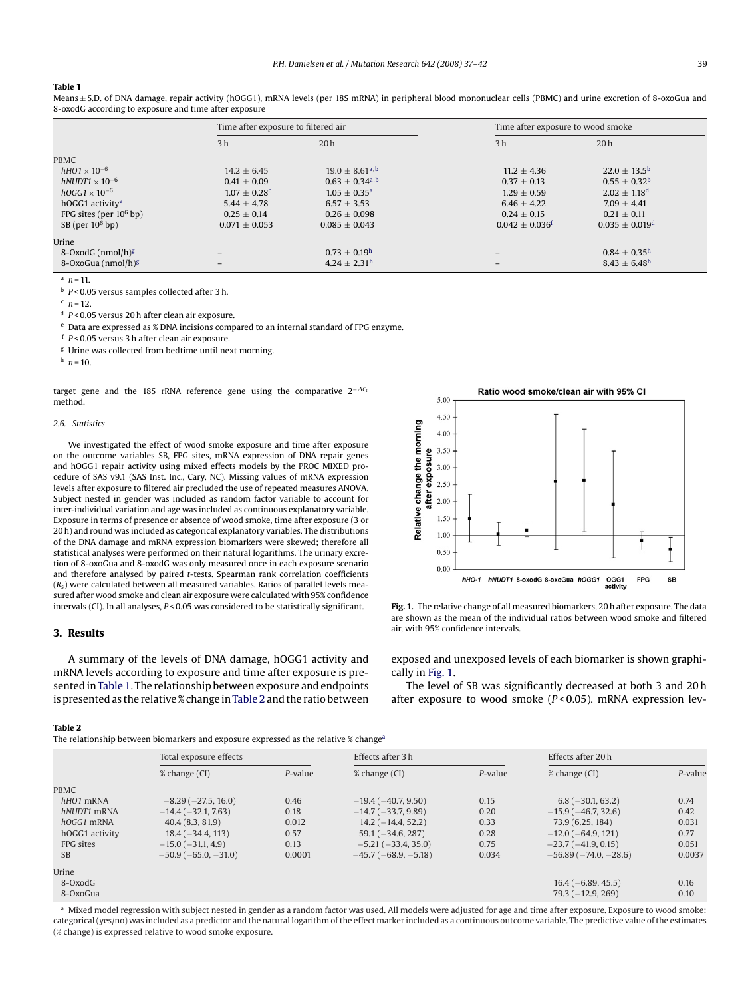#### <span id="page-2-0"></span>**Table 1**

Means ± S.D. of DNA damage, repair activity (hOGG1), mRNA levels (per 18S mRNA) in peripheral blood mononuclear cells (PBMC) and urine excretion of 8-oxoGua and 8-oxodG according to exposure and time after exposure

|                                   | Time after exposure to filtered air |                                |                                | Time after exposure to wood smoke |  |  |
|-----------------------------------|-------------------------------------|--------------------------------|--------------------------------|-----------------------------------|--|--|
|                                   | 3 <sub>h</sub>                      | 20h                            | 3 <sub>h</sub>                 | 20 <sub>h</sub>                   |  |  |
| PBMC                              |                                     |                                |                                |                                   |  |  |
| $hHO1 \times 10^{-6}$             | $14.2 \pm 6.45$                     | $19.0 + 8.61a$                 | $11.2 \pm 4.36$                | $22.0 \pm 13.5^{\rm b}$           |  |  |
| hNUDT1 $\times$ 10 <sup>-6</sup>  | $0.41 \pm 0.09$                     | $0.63 \pm 0.34$ <sup>a,b</sup> | $0.37 + 0.13$                  | $0.55 \pm 0.32^{\rm b}$           |  |  |
| $hOGG1 \times 10^{-6}$            | $1.07 \pm 0.28$ c                   | $1.05 \pm 0.35^{\rm a}$        | $1.29 \pm 0.59$                | $2.02 \pm 1.18$ <sup>d</sup>      |  |  |
| hOGG1 activity <sup>e</sup>       | $5.44 \pm 4.78$                     | $6.57 + 3.53$                  | $6.46 + 4.22$                  | $7.09 + 4.41$                     |  |  |
| FPG sites (per $10^6$ bp)         | $0.25 \pm 0.14$                     | $0.26 \pm 0.098$               | $0.24 \pm 0.15$                | $0.21 \pm 0.11$                   |  |  |
| $SB$ (per $10^6$ bp)              | $0.071 \pm 0.053$                   | $0.085 \pm 0.043$              | $0.042 \pm 0.036$ <sup>f</sup> | $0.035 \pm 0.019^d$               |  |  |
| Urine                             |                                     |                                |                                |                                   |  |  |
| 8-OxodG ( $nmol/h$ ) <sup>g</sup> |                                     | $0.73 \pm 0.19^{\rm h}$        |                                | $0.84 \pm 0.35^{\rm h}$           |  |  |
| 8-OxoGua (nmol/h) <sup>g</sup>    | -                                   | $4.24 \pm 2.31^{\rm h}$        |                                | $8.43 \pm 6.48$ <sup>h</sup>      |  |  |

 $n = 11$ .

<sup>b</sup> *P* < 0.05 versus samples collected after 3 h.

 $c$   $n = 12$ .

<sup>d</sup> *P* < 0.05 versus 20 h after clean air exposure.

<sup>e</sup> Data are expressed as % DNA incisions compared to an internal standard of FPG enzyme.

<sup>f</sup> *P* < 0.05 versus 3 h after clean air exposure.

<sup>g</sup> Urine was collected from bedtime until next morning.

 $h$   $n = 10$ .

target gene and the 18S rRNA reference gene using the comparative 2<sup>-∆C</sup> method.

#### *2.6. Statistics*

We investigated the effect of wood smoke exposure and time after exposure on the outcome variables SB, FPG sites, mRNA expression of DNA repair genes and hOGG1 repair activity using mixed effects models by the PROC MIXED procedure of SAS v9.1 (SAS Inst. Inc., Cary, NC). Missing values of mRNA expression levels after exposure to filtered air precluded the use of repeated measures ANOVA. Subject nested in gender was included as random factor variable to account for inter-individual variation and age was included as continuous explanatory variable. Exposure in terms of presence or absence of wood smoke, time after exposure (3 or 20 h) and round was included as categorical explanatory variables. The distributions of the DNA damage and mRNA expression biomarkers were skewed; therefore all statistical analyses were performed on their natural logarithms. The urinary excretion of 8-oxoGua and 8-oxodG was only measured once in each exposure scenario and therefore analysed by paired *t*-tests. Spearman rank correlation coefficients (*R*s) were calculated between all measured variables. Ratios of parallel levels measured after wood smoke and clean air exposure were calculated with 95% confidence intervals (CI). In all analyses, *P* < 0.05 was considered to be statistically significant.

## **3. Results**

A summary of the levels of DNA damage, hOGG1 activity and mRNA levels according to exposure and time after exposure is presented inTable 1. The relationship between exposure and endpoints is presented as the relative % change inTable 2 and the ratio between



**Fig. 1.** The relative change of all measured biomarkers, 20 h after exposure. The data are shown as the mean of the individual ratios between wood smoke and filtered air, with 95% confidence intervals.

exposed and unexposed levels of each biomarker is shown graphically in Fig. 1.

The level of SB was significantly decreased at both 3 and 20 h after exposure to wood smoke (*P* < 0.05). mRNA expression lev-

#### **Table 2**

The relationship between biomarkers and exposure expressed as the relative % changea

|                | Total exposure effects   |            | Effects after 3 h    |            | Effects after 20h        |         |
|----------------|--------------------------|------------|----------------------|------------|--------------------------|---------|
|                | % change (CI)            | $P$ -value | % change (CI)        | $P$ -value | % change (CI)            | P-value |
| PBMC           |                          |            |                      |            |                          |         |
| $hHO1$ mRNA    | $-8.29(-27.5, 16.0)$     | 0.46       | $-19.4(-40.7, 9.50)$ | 0.15       | $6.8(-30.1, 63.2)$       | 0.74    |
| hNUDT1 mRNA    | $-14.4(-32.1, 7.63)$     | 0.18       | $-14.7(-33.7, 9.89)$ | 0.20       | $-15.9(-46.7, 32.6)$     | 0.42    |
| $hOGG1$ mRNA   | 40.4(8.3, 81.9)          | 0.012      | $14.2(-14.4, 52.2)$  | 0.33       | 73.9 (6.25, 184)         | 0.031   |
| hOGG1 activity | $18.4(-34.4, 113)$       | 0.57       | $59.1 (-34.6, 287)$  | 0.28       | $-12.0$ ( $-64.9$ , 121) | 0.77    |
| FPG sites      | $-15.0$ ( $-31.1, 4.9$ ) | 0.13       | $-5.21(-33.4, 35.0)$ | 0.75       | $-23.7(-41.9, 0.15)$     | 0.051   |
| <b>SB</b>      | $-50.9(-65.0, -31.0)$    | 0.0001     | $-45.7(-68.9,-5.18)$ | 0.034      | $-56.89(-74.0,-28.6)$    | 0.0037  |
| Urine          |                          |            |                      |            |                          |         |
| 8-OxodG        |                          |            |                      |            | $16.4(-6.89, 45.5)$      | 0.16    |
| 8-OxoGua       |                          |            |                      |            | $79.3(-12.9, 269)$       | 0.10    |

a Mixed model regression with subject nested in gender as a random factor was used. All models were adjusted for age and time after exposure. Exposure to wood smoke: categorical (yes/no) was included as a predictor and the natural logarithm of the effect marker included as a continuous outcome variable. The predictive value of the estimates (% change) is expressed relative to wood smoke exposure.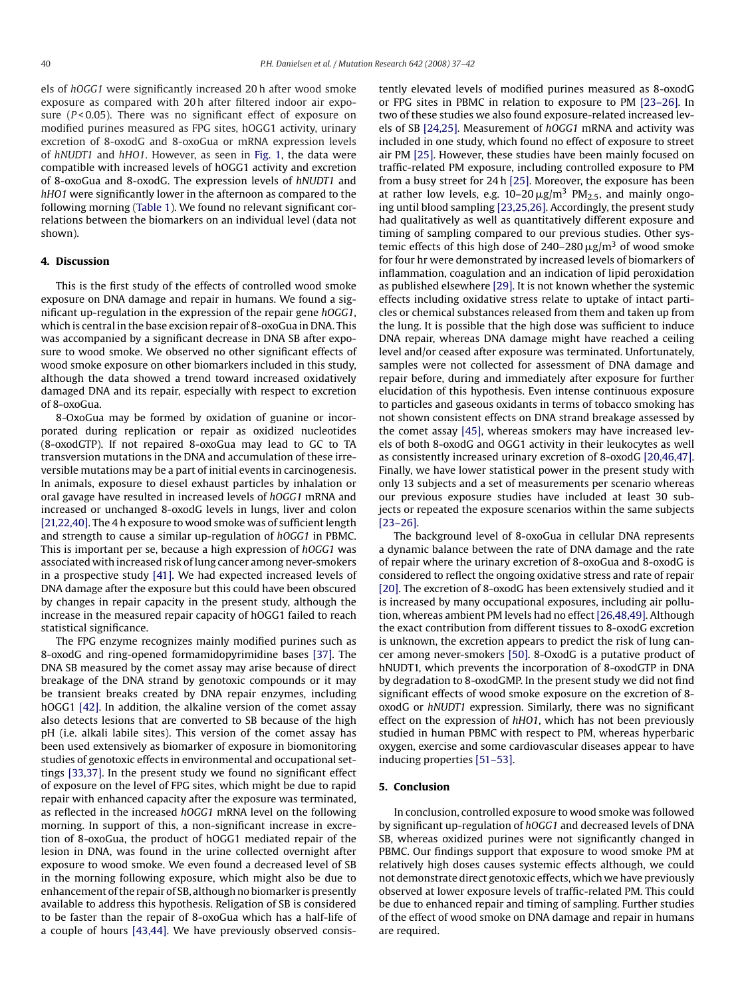els of *hOGG1* were significantly increased 20 h after wood smoke exposure as compared with 20 h after filtered indoor air exposure (*P* < 0.05). There was no significant effect of exposure on modified purines measured as FPG sites, hOGG1 activity, urinary excretion of 8-oxodG and 8-oxoGua or mRNA expression levels of *hNUDT1* and *hHO1*. However, as seen in [Fig. 1,](#page-2-0) the data were compatible with increased levels of hOGG1 activity and excretion of 8-oxoGua and 8-oxodG. The expression levels of *hNUDT1* and *hHO1* were significantly lower in the afternoon as compared to the following morning ([Table 1\).](#page-2-0) We found no relevant significant correlations between the biomarkers on an individual level (data not shown).

## **4. Discussion**

This is the first study of the effects of controlled wood smoke exposure on DNA damage and repair in humans. We found a significant up-regulation in the expression of the repair gene *hOGG1*, which is central in the base excision repair of 8-oxoGua in DNA. This was accompanied by a significant decrease in DNA SB after exposure to wood smoke. We observed no other significant effects of wood smoke exposure on other biomarkers included in this study, although the data showed a trend toward increased oxidatively damaged DNA and its repair, especially with respect to excretion of 8-oxoGua.

8-OxoGua may be formed by oxidation of guanine or incorporated during replication or repair as oxidized nucleotides (8-oxodGTP). If not repaired 8-oxoGua may lead to GC to TA transversion mutations in the DNA and accumulation of these irreversible mutations may be a part of initial events in carcinogenesis. In animals, exposure to diesel exhaust particles by inhalation or oral gavage have resulted in increased levels of *hOGG1* mRNA and increased or unchanged 8-oxodG levels in lungs, liver and colon [\[21,22,40\]. T](#page-4-0)he 4 h exposure to wood smoke was of sufficient length and strength to cause a similar up-regulation of *hOGG1* in PBMC. This is important per se, because a high expression of *hOGG1* was associated with increased risk of lung cancer among never-smokers in a prospective study [\[41\]. W](#page-4-0)e had expected increased levels of DNA damage after the exposure but this could have been obscured by changes in repair capacity in the present study, although the increase in the measured repair capacity of hOGG1 failed to reach statistical significance.

The FPG enzyme recognizes mainly modified purines such as 8-oxodG and ring-opened formamidopyrimidine bases [\[37\].](#page-4-0) The DNA SB measured by the comet assay may arise because of direct breakage of the DNA strand by genotoxic compounds or it may be transient breaks created by DNA repair enzymes, including hOGG1 [\[42\]. I](#page-4-0)n addition, the alkaline version of the comet assay also detects lesions that are converted to SB because of the high pH (i.e. alkali labile sites). This version of the comet assay has been used extensively as biomarker of exposure in biomonitoring studies of genotoxic effects in environmental and occupational settings [\[33,37\]. I](#page-4-0)n the present study we found no significant effect of exposure on the level of FPG sites, which might be due to rapid repair with enhanced capacity after the exposure was terminated, as reflected in the increased *hOGG1* mRNA level on the following morning. In support of this, a non-significant increase in excretion of 8-oxoGua, the product of hOGG1 mediated repair of the lesion in DNA, was found in the urine collected overnight after exposure to wood smoke. We even found a decreased level of SB in the morning following exposure, which might also be due to enhancement of the repair of SB, although no biomarker is presently available to address this hypothesis. Religation of SB is considered to be faster than the repair of 8-oxoGua which has a half-life of a couple of hours [\[43,44\]. W](#page-4-0)e have previously observed consistently elevated levels of modified purines measured as 8-oxodG or FPG sites in PBMC in relation to exposure to PM [\[23–26\].](#page-4-0) In two of these studies we also found exposure-related increased levels of SB [\[24,25\]. M](#page-4-0)easurement of *hOGG1* mRNA and activity was included in one study, which found no effect of exposure to street air PM [\[25\]. H](#page-4-0)owever, these studies have been mainly focused on traffic-related PM exposure, including controlled exposure to PM from a busy street for 24 h [\[25\]. M](#page-4-0)oreover, the exposure has been at rather low levels, e.g.  $10-20 \mu g/m^3$  PM<sub>2.5</sub>, and mainly ongoing until blood sampling [\[23,25,26\]. A](#page-4-0)ccordingly, the present study had qualitatively as well as quantitatively different exposure and timing of sampling compared to our previous studies. Other systemic effects of this high dose of  $240-280 \,\mathrm{\mu g/m^3}$  of wood smoke for four hr were demonstrated by increased levels of biomarkers of inflammation, coagulation and an indication of lipid peroxidation as published elsewhere [\[29\]. I](#page-4-0)t is not known whether the systemic effects including oxidative stress relate to uptake of intact particles or chemical substances released from them and taken up from the lung. It is possible that the high dose was sufficient to induce DNA repair, whereas DNA damage might have reached a ceiling level and/or ceased after exposure was terminated. Unfortunately, samples were not collected for assessment of DNA damage and repair before, during and immediately after exposure for further elucidation of this hypothesis. Even intense continuous exposure to particles and gaseous oxidants in terms of tobacco smoking has not shown consistent effects on DNA strand breakage assessed by the comet assay [\[45\], w](#page-4-0)hereas smokers may have increased levels of both 8-oxodG and OGG1 activity in their leukocytes as well as consistently increased urinary excretion of 8-oxodG [\[20,46,47\].](#page-4-0) Finally, we have lower statistical power in the present study with only 13 subjects and a set of measurements per scenario whereas our previous exposure studies have included at least 30 subjects or repeated the exposure scenarios within the same subjects [\[23–26\].](#page-4-0)

The background level of 8-oxoGua in cellular DNA represents a dynamic balance between the rate of DNA damage and the rate of repair where the urinary excretion of 8-oxoGua and 8-oxodG is considered to reflect the ongoing oxidative stress and rate of repair [\[20\]. T](#page-4-0)he excretion of 8-oxodG has been extensively studied and it is increased by many occupational exposures, including air pollution, whereas ambient PM levels had no effect [\[26,48,49\]. A](#page-4-0)lthough the exact contribution from different tissues to 8-oxodG excretion is unknown, the excretion appears to predict the risk of lung cancer among never-smokers [\[50\]. 8](#page-5-0)-OxodG is a putative product of hNUDT1, which prevents the incorporation of 8-oxodGTP in DNA by degradation to 8-oxodGMP. In the present study we did not find significant effects of wood smoke exposure on the excretion of 8 oxodG or *hNUDT1* expression. Similarly, there was no significant effect on the expression of *hHO1*, which has not been previously studied in human PBMC with respect to PM, whereas hyperbaric oxygen, exercise and some cardiovascular diseases appear to have inducing properties [\[51–53\].](#page-5-0)

#### **5. Conclusion**

In conclusion, controlled exposure to wood smoke was followed by significant up-regulation of *hOGG1* and decreased levels of DNA SB, whereas oxidized purines were not significantly changed in PBMC. Our findings support that exposure to wood smoke PM at relatively high doses causes systemic effects although, we could not demonstrate direct genotoxic effects, which we have previously observed at lower exposure levels of traffic-related PM. This could be due to enhanced repair and timing of sampling. Further studies of the effect of wood smoke on DNA damage and repair in humans are required.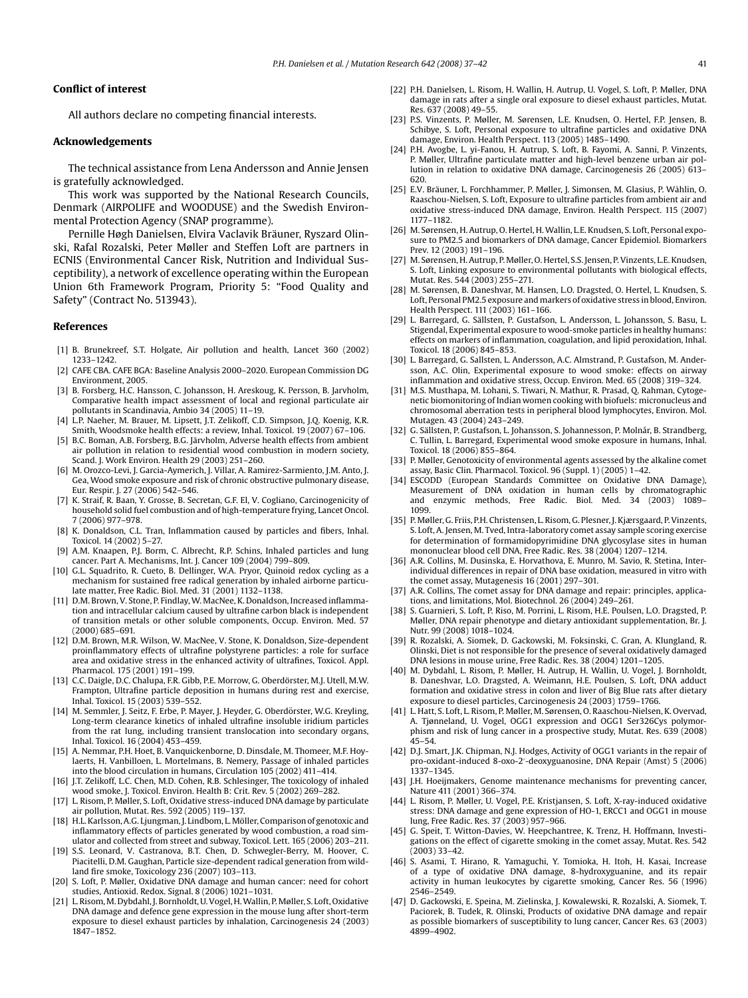#### <span id="page-4-0"></span>**Conflict of interest**

All authors declare no competing financial interests.

## **Acknowledgements**

The technical assistance from Lena Andersson and Annie Jensen is gratefully acknowledged.

This work was supported by the National Research Councils, Denmark (AIRPOLIFE and WOODUSE) and the Swedish Environmental Protection Agency (SNAP programme).

Pernille Høgh Danielsen, Elvira Vaclavik Bräuner, Ryszard Olinski, Rafal Rozalski, Peter Møller and Steffen Loft are partners in ECNIS (Environmental Cancer Risk, Nutrition and Individual Susceptibility), a network of excellence operating within the European Union 6th Framework Program, Priority 5: "Food Quality and Safety" (Contract No. 513943).

#### **References**

- [1] B. Brunekreef, S.T. Holgate, Air pollution and health, Lancet 360 (2002) 1233–1242.
- [2] CAFE CBA. CAFE BGA: Baseline Analysis 2000–2020. European Commission DG Environment, 2005.
- [3] B. Forsberg, H.C. Hansson, C. Johansson, H. Areskoug, K. Persson, B. Jarvholm, Comparative health impact assessment of local and regional particulate air pollutants in Scandinavia, Ambio 34 (2005) 11–19.
- [4] L.P. Naeher, M. Brauer, M. Lipsett, J.T. Zelikoff, C.D. Simpson, J.Q. Koenig, K.R. Smith, Woodsmoke health effects: a review, Inhal. Toxicol. 19 (2007) 67–106.
- [5] B.C. Boman, A.B. Forsberg, B.G. Järvholm, Adverse health effects from ambient air pollution in relation to residential wood combustion in modern society, Scand. J. Work Environ. Health 29 (2003) 251–260.
- [6] M. Orozco-Levi, J. Garcia-Aymerich, J. Villar, A. Ramirez-Sarmiento, J.M. Anto, J. Gea, Wood smoke exposure and risk of chronic obstructive pulmonary disease, Eur. Respir. J. 27 (2006) 542–546.
- [7] K. Straif, R. Baan, Y. Grosse, B. Secretan, G.F. El, V. Cogliano, Carcinogenicity of household solid fuel combustion and of high-temperature frying, Lancet Oncol. 7 (2006) 977–978.
- [8] K. Donaldson, C.L. Tran, Inflammation caused by particles and fibers, Inhal. Toxicol. 14 (2002) 5–27.
- [9] A.M. Knaapen, P.J. Borm, C. Albrecht, R.P. Schins, Inhaled particles and lung cancer. Part A. Mechanisms, Int. J. Cancer 109 (2004) 799–809.
- [10] G.L. Squadrito, R. Cueto, B. Dellinger, W.A. Pryor, Quinoid redox cycling as a mechanism for sustained free radical generation by inhaled airborne particulate matter, Free Radic. Biol. Med. 31 (2001) 1132–1138.
- [11] D.M. Brown, V. Stone, P. Findlay, W. MacNee, K. Donaldson, Increased inflammation and intracellular calcium caused by ultrafine carbon black is independent of transition metals or other soluble components, Occup. Environ. Med. 57 (2000) 685–691.
- [12] D.M. Brown, M.R. Wilson, W. MacNee, V. Stone, K. Donaldson, Size-dependent proinflammatory effects of ultrafine polystyrene particles: a role for surface area and oxidative stress in the enhanced activity of ultrafines, Toxicol. Appl. Pharmacol. 175 (2001) 191–199.
- [13] C.C. Daigle, D.C. Chalupa, F.R. Gibb, P.E. Morrow, G. Oberdörster, M.J. Utell, M.W. Frampton, Ultrafine particle deposition in humans during rest and exercise, Inhal. Toxicol. 15 (2003) 539–552.
- [14] M. Semmler, J. Seitz, F. Erbe, P. Mayer, J. Heyder, G. Oberdörster, W.G. Kreyling, Long-term clearance kinetics of inhaled ultrafine insoluble iridium particles from the rat lung, including transient translocation into secondary organs, Inhal. Toxicol. 16 (2004) 453–459.
- [15] A. Nemmar, P.H. Hoet, B. Vanquickenborne, D. Dinsdale, M. Thomeer, M.F. Hoylaerts, H. Vanbilloen, L. Mortelmans, B. Nemery, Passage of inhaled particles into the blood circulation in humans, Circulation 105 (2002) 411–414.
- [16] J.T. Zelikoff, L.C. Chen, M.D. Cohen, R.B. Schlesinger, The toxicology of inhaled wood smoke, J. Toxicol. Environ. Health B: Crit. Rev. 5 (2002) 269–282.
- [17] L. Risom, P. Møller, S. Loft, Oxidative stress-induced DNA damage by particulate air pollution, Mutat. Res. 592 (2005) 119–137.
- [18] H.L. Karlsson, A.G. Ljungman, J. Lindbom, L. Möller, Comparison of genotoxic and inflammatory effects of particles generated by wood combustion, a road simulator and collected from street and subway, Toxicol. Lett. 165 (2006) 203–211.
- [19] S.S. Leonard, V. Castranova, B.T. Chen, D. Schwegler-Berry, M. Hoover, C. Piacitelli, D.M. Gaughan, Particle size-dependent radical generation from wildland fire smoke, Toxicology 236 (2007) 103–113.
- [20] S. Loft, P. Møller, Oxidative DNA damage and human cancer: need for cohort studies, Antioxid. Redox. Signal. 8 (2006) 1021–1031.
- [21] L. Risom,M. Dybdahl, J. Bornholdt, U. Vogel, H.Wallin, P.Møller, S. Loft, Oxidative DNA damage and defence gene expression in the mouse lung after short-term exposure to diesel exhaust particles by inhalation, Carcinogenesis 24 (2003) 1847–1852.
- [22] P.H. Danielsen, L. Risom, H. Wallin, H. Autrup, U. Vogel, S. Loft, P. Møller, DNA damage in rats after a single oral exposure to diesel exhaust particles, Mutat. Res. 637 (2008) 49–55.
- [23] P.S. Vinzents, P. Møller, M. Sørensen, L.E. Knudsen, O. Hertel, F.P. Jensen, B. Schibye, S. Loft, Personal exposure to ultrafine particles and oxidative DNA damage, Environ. Health Perspect. 113 (2005) 1485–1490.
- [24] P.H. Avogbe, L. yi-Fanou, H. Autrup, S. Loft, B. Fayomi, A. Sanni, P. Vinzents, P. Møller, Ultrafine particulate matter and high-level benzene urban air pollution in relation to oxidative DNA damage, Carcinogenesis 26 (2005) 613– 620.
- [25] E.V. Bräuner, L. Forchhammer, P. Møller, J. Simonsen, M. Glasius, P. Wåhlin, O. Raaschou-Nielsen, S. Loft, Exposure to ultrafine particles from ambient air and oxidative stress-induced DNA damage, Environ. Health Perspect. 115 (2007) 1177–1182.
- [26] M. Sørensen, H. Autrup, O. Hertel, H.Wallin, L.E. Knudsen, S. Loft, Personal exposure to PM2.5 and biomarkers of DNA damage, Cancer Epidemiol. Biomarkers Prev. 12 (2003) 191–196.
- [27] M. Sørensen, H. Autrup, P. Møller, O. Hertel, S.S. Jensen, P. Vinzents, L.E. Knudsen, S. Loft, Linking exposure to environmental pollutants with biological effects, Mutat. Res. 544 (2003) 255–271.
- [28] M. Sørensen, B. Daneshvar, M. Hansen, L.O. Dragsted, O. Hertel, L. Knudsen, S. Loft, Personal PM2.5 exposure and markers of oxidative stress in blood, Environ. Health Perspect. 111 (2003) 161–166.
- [29] L. Barregard, G. Sällsten, P. Gustafson, L. Andersson, L. Johansson, S. Basu, L. Stigendal, Experimental exposure to wood-smoke particles in healthy humans: effects on markers of inflammation, coagulation, and lipid peroxidation, Inhal. Toxicol. 18 (2006) 845–853.
- [30] L. Barregard, G. Sallsten, L. Andersson, A.C. Almstrand, P. Gustafson, M. Andersson, A.C. Olin, Experimental exposure to wood smoke: effects on airway inflammation and oxidative stress, Occup. Environ. Med. 65 (2008) 319–324.
- [31] M.S. Musthapa, M. Lohani, S. Tiwari, N. Mathur, R. Prasad, Q. Rahman, Cytogenetic biomonitoring of Indian women cooking with biofuels: micronucleus and chromosomal aberration tests in peripheral blood lymphocytes, Environ. Mol. Mutagen. 43 (2004) 243–249.
- [32] G. Sällsten, P. Gustafson, L. Johansson, S. Johannesson, P. Molnár, B. Strandberg, C. Tullin, L. Barregard, Experimental wood smoke exposure in humans, Inhal. Toxicol. 18 (2006) 855–864.
- [33] P. Møller, Genotoxicity of environmental agents assessed by the alkaline comet assay, Basic Clin. Pharmacol. Toxicol. 96 (Suppl. 1) (2005) 1–42.
- [34] ESCODD (European Standards Committee on Oxidative DNA Damage), Measurement of DNA oxidation in human cells by chromatographic and enzymic methods, Free Radic. Biol. Med. 34 (2003) 1089– 1099.
- [35] P.Møller, G. Friis, P.H. Christensen, L. Risom, G. Plesner, J. Kjærsgaard, P. Vinzents, S. Loft, A. Jensen, M. Tved, Intra-laboratory comet assay sample scoring exercise for determination of formamidopyrimidine DNA glycosylase sites in human mononuclear blood cell DNA, Free Radic. Res. 38 (2004) 1207–1214.
- [36] A.R. Collins, M. Dusinska, E. Horvathova, E. Munro, M. Savio, R. Stetina, Interindividual differences in repair of DNA base oxidation, measured in vitro with the comet assay, Mutagenesis 16 (2001) 297–301.
- A.R. Collins, The comet assay for DNA damage and repair: principles, applications, and limitations, Mol. Biotechnol. 26 (2004) 249–261.
- [38] S. Guarnieri, S. Loft, P. Riso, M. Porrini, L. Risom, H.E. Poulsen, L.O. Dragsted, P. Møller, DNA repair phenotype and dietary antioxidant supplementation, Br. J. Nutr. 99 (2008) 1018–1024.
- [39] R. Rozalski, A. Siomek, D. Gackowski, M. Foksinski, C. Gran, A. Klungland, R. Olinski, Diet is not responsible for the presence of several oxidatively damaged DNA lesions in mouse urine, Free Radic. Res. 38 (2004) 1201–1205.
- [40] M. Dybdahl, L. Risom, P. Møller, H. Autrup, H. Wallin, U. Vogel, J. Bornholdt, B. Daneshvar, L.O. Dragsted, A. Weimann, H.E. Poulsen, S. Loft, DNA adduct formation and oxidative stress in colon and liver of Big Blue rats after dietary exposure to diesel particles, Carcinogenesis 24 (2003) 1759–1766.
- [41] L. Hatt, S. Loft, L. Risom, P. Møller, M. Sørensen, O. Raaschou-Nielsen, K. Overvad, A. Tjønneland, U. Vogel, OGG1 expression and OGG1 Ser326Cys polymorphism and risk of lung cancer in a prospective study, Mutat. Res. 639 (2008) 45–54.
- [42] D.J. Smart, J.K. Chipman, N.J. Hodges, Activity of OGG1 variants in the repair of pro-oxidant-induced 8-oxo-2 -deoxyguanosine, DNA Repair (Amst) 5 (2006) 1337–1345.
- [43] J.H. Hoeijmakers, Genome maintenance mechanisms for preventing cancer, Nature 411 (2001) 366–374.
- [44] L. Risom, P. Møller, U. Vogel, P.E. Kristjansen, S. Loft, X-ray-induced oxidative stress: DNA damage and gene expression of HO-1, ERCC1 and OGG1 in mouse lung, Free Radic. Res. 37 (2003) 957–966.
- [45] G. Speit, T. Witton-Davies, W. Heepchantree, K. Trenz, H. Hoffmann, Investigations on the effect of cigarette smoking in the comet assay, Mutat. Res. 542 (2003) 33–42.
- [46] S. Asami, T. Hirano, R. Yamaguchi, Y. Tomioka, H. Itoh, H. Kasai, Increase of a type of oxidative DNA damage, 8-hydroxyguanine, and its repair activity in human leukocytes by cigarette smoking, Cancer Res. 56 (1996) 2546–2549.
- [47] D. Gackowski, E. Speina, M. Zielinska, J. Kowalewski, R. Rozalski, A. Siomek, T. Paciorek, B. Tudek, R. Olinski, Products of oxidative DNA damage and repair as possible biomarkers of susceptibility to lung cancer, Cancer Res. 63 (2003) 4899–4902.